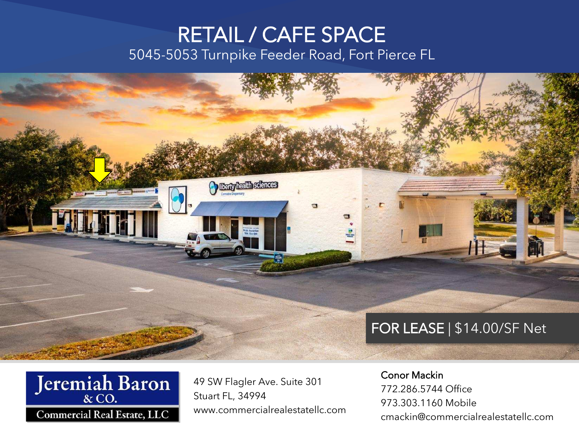#### RETAIL / CAFE SPACE 5045-5053 Turnpike Feeder Road, Fort Pierce FL

**Berry health sciences** 





49 SW Flagler Ave. Suite 301 Stuart FL, 34994 www.commercialrealestatellc.com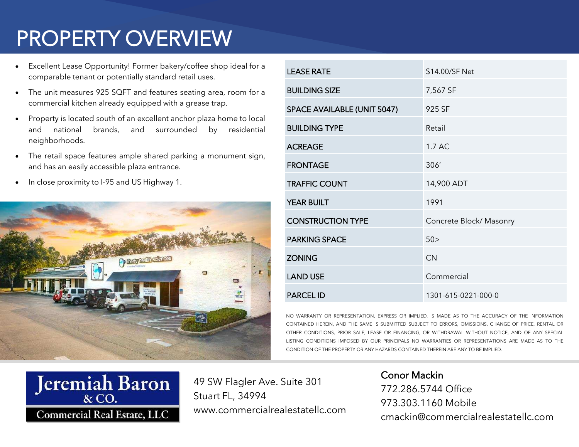# PROPERTY OVERVIEW

- Excellent Lease Opportunity! Former bakery/coffee shop ideal for a comparable tenant or potentially standard retail uses.
- The unit measures 925 SQFT and features seating area, room for a commercial kitchen already equipped with a grease trap.
- Property is located south of an excellent anchor plaza home to local and national brands, and surrounded by residential neighborhoods.
- The retail space features ample shared parking a monument sign, and has an easily accessible plaza entrance.
- In close proximity to I-95 and US Highway 1.



| <b>LEASE RATE</b>           | \$14.00/SF Net          |
|-----------------------------|-------------------------|
| <b>BUILDING SIZE</b>        | 7,567 SF                |
| SPACE AVAILABLE (UNIT 5047) | 925 SF                  |
| <b>BUILDING TYPE</b>        | Retail                  |
| <b>ACREAGE</b>              | 1.7 AC                  |
| <b>FRONTAGE</b>             | 306'                    |
| <b>TRAFFIC COUNT</b>        | 14,900 ADT              |
| <b>YEAR BUILT</b>           | 1991                    |
| <b>CONSTRUCTION TYPE</b>    | Concrete Block/ Masonry |
| <b>PARKING SPACE</b>        | 50 >                    |
| <b>ZONING</b>               | CN                      |
| <b>LAND USE</b>             | Commercial              |
| <b>PARCEL ID</b>            | 1301-615-0221-000-0     |

NO WARRANTY OR REPRESENTATION, EXPRESS OR IMPLIED, IS MADE AS TO THE ACCURACY CONTAINED HEREIN. AND THE SAME IS SUBMITTED SUBJECT TO ERRORS, OMISSIONS, CHANGE OF PRICE, OTHER CONDITIONS, PRIOR SALE, LEASE OR FINANCING, OR WITHDRAWAL WITHOUT NOTICE, AND OF ANY SPECIAL LISTING CONDITIONS IMPOSED BY OUR PRINCIPALS NO WARRANTIES OR REPRESENTATIONS ARE MADE AS TO THE CONDITION OF THE PROPERTY OR ANY HAZARDS CONTAINED THEREIN ARE ANY TO BE IMPLIED.



49 SW Flagler Ave. Suite 301 Stuart FL, 34994 www.commercialrealestatellc.com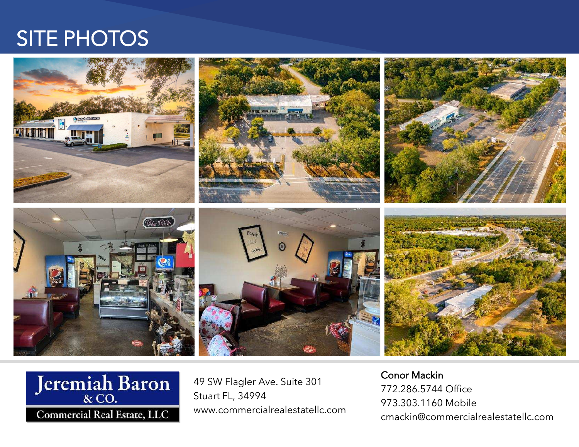#### SITE PHOTOS





49 SW Flagler Ave. Suite 301 Stuart FL, 34994 www.commercialrealestatellc.com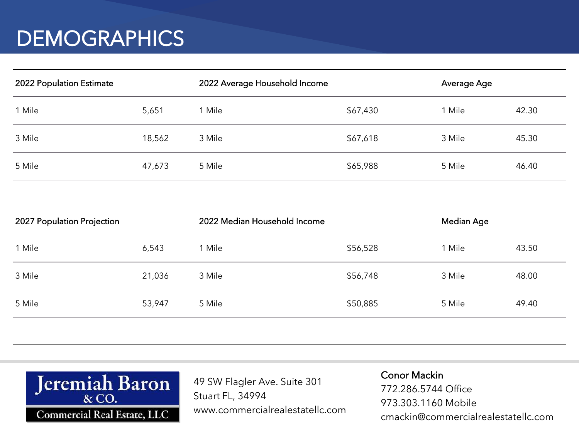## **DEMOGRAPHICS**

| 2022 Population Estimate |        | 2022 Average Household Income |          | Average Age |       |
|--------------------------|--------|-------------------------------|----------|-------------|-------|
| 1 Mile                   | 5,651  | 1 Mile                        | \$67,430 | 1 Mile      | 42.30 |
| 3 Mile                   | 18,562 | 3 Mile                        | \$67,618 | 3 Mile      | 45.30 |
| 5 Mile                   | 47,673 | 5 Mile                        | \$65,988 | 5 Mile      | 46.40 |

| 2027 Population Projection |        | 2022 Median Household Income |          | Median Age |       |
|----------------------------|--------|------------------------------|----------|------------|-------|
| 1 Mile                     | 6,543  | Mile                         | \$56,528 | 1 Mile     | 43.50 |
| 3 Mile                     | 21,036 | 3 Mile                       | \$56,748 | 3 Mile     | 48.00 |
| 5 Mile                     | 53,947 | 5 Mile                       | \$50,885 | 5 Mile     | 49.40 |
|                            |        |                              |          |            |       |



49 SW Flagler Ave. Suite 301 Stuart FL, 34994 www.commercialrealestatellc.com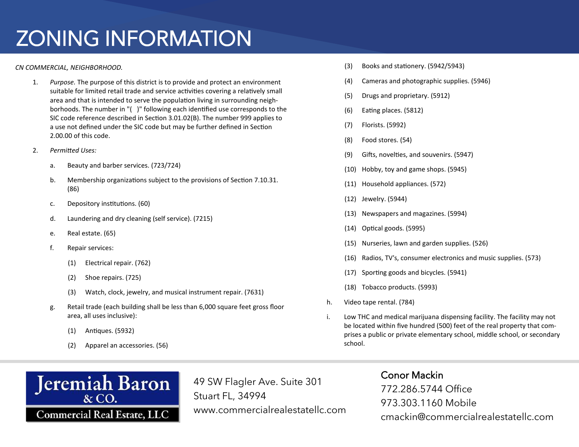# ZONING INFORMATION

#### *CN COMMERCIAL, NEIGHBORHOOD.*

- 1. Purpose. The purpose of this district is to provide and protect an environment suitable for limited retail trade and service activities covering a relatively small area and that is intended to serve the population living in surrounding neighborhoods. The number in "() " following each identified use corresponds to the SIC code reference described in Section 3.01.02(B). The number 999 applies to a use not defined under the SIC code but may be further defined in Section  $2.00.00$  of this code.
- ヲ. *Permited Uses:*
	- a. Beauty and barber services. (723/724)
	- b. Membership organizations subject to the provisions of Section 7.10.31.  $(86)$
	- c. Depository institutions. (60)
	- d. Laundering and dry cleaning (self service). (7215)
	- e. Real estate. (65)
	- f. Repair services:
		- (1) Electrical repair. (762)
		- $(2)$  Shoe repairs.  $(725)$
		- (3) Watch, clock, jewelry, and musical instrument repair. (7631)
	- g. Retail trade (each building shall be less than 6,000 square feet gross floor area, all uses inclusive):
		- $(1)$  Antiques.  $(5932)$
		- $(2)$  Apparel an accessories.  $(56)$



- (4) Cameras and photographic supplies. (5946)
- (5) Drugs and proprietary. (5912)
- $(6)$  Eating places.  $(5812)$
- (7) Florists. (5992)
- $(8)$  Food stores.  $(54)$
- (9) Gifts, novelties, and souvenirs. (5947)
- $(10)$  Hobby, toy and game shops.  $(5945)$
- (11) Household appliances. (572)
- $(12)$  Jewelry.  $(5944)$
- (13) Newspapers and magazines. (5994)
- (14) Optical goods. (5995)
- (15) Nurseries, lawn and garden supplies. (526)
- (16) Radios, TV's, consumer electronics and music supplies. (573)
- (17) Sporting goods and bicycles. (5941)
- (18) Tobacco products. (5993)
- h. Video tape rental. (784)
- i. Low THC and medical marijuana dispensing facility. The facility may not be located within five hundred (500) feet of the real property that comprises a public or private elementary school, middle school, or secondary school.



49 SW Flagler Ave. Suite 301 Stuart FL, 34994 www.commercialrealestatellc.com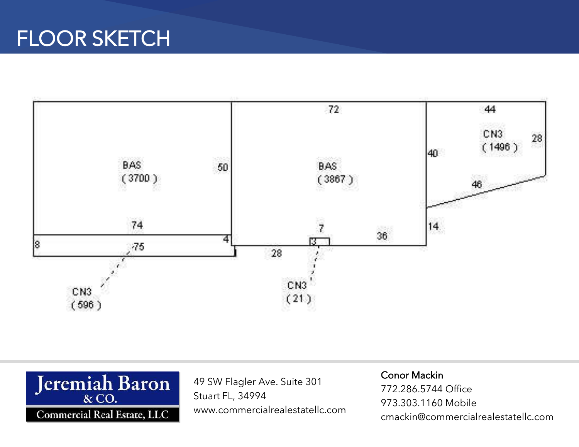



49 SW Flagler Ave. Suite 301 Stuart FL, 34994 www.commercialrealestatellc.com